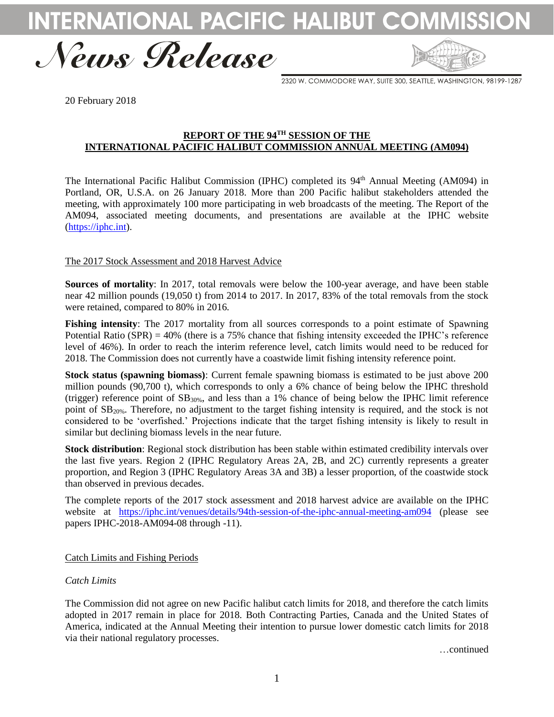INTERNATIONAL PACIFIC HALIBU



2320 W. COMMODORE WAY, SUITE 300, SEATTLE, WASHINGTON, 98199-1287

20 February 2018

# **REPORT OF THE 94TH SESSION OF THE INTERNATIONAL PACIFIC HALIBUT COMMISSION ANNUAL MEETING (AM094)**

The International Pacific Halibut Commission (IPHC) completed its 94<sup>th</sup> Annual Meeting (AM094) in Portland, OR, U.S.A. on 26 January 2018. More than 200 Pacific halibut stakeholders attended the meeting, with approximately 100 more participating in web broadcasts of the meeting. The Report of the AM094, associated meeting documents, and presentations are available at the IPHC website [\(https://iphc.int\)](https://iphc.int/).

# The 2017 Stock Assessment and 2018 Harvest Advice

**Sources of mortality**: In 2017, total removals were below the 100-year average, and have been stable near 42 million pounds (19,050 t) from 2014 to 2017. In 2017, 83% of the total removals from the stock were retained, compared to 80% in 2016.

**Fishing intensity**: The 2017 mortality from all sources corresponds to a point estimate of Spawning Potential Ratio  $(SPR) = 40\%$  (there is a 75% chance that fishing intensity exceeded the IPHC's reference level of 46%). In order to reach the interim reference level, catch limits would need to be reduced for 2018. The Commission does not currently have a coastwide limit fishing intensity reference point.

**Stock status (spawning biomass)**: Current female spawning biomass is estimated to be just above 200 million pounds (90,700 t), which corresponds to only a 6% chance of being below the IPHC threshold (trigger) reference point of SB30%, and less than a 1% chance of being below the IPHC limit reference point of SB20%. Therefore, no adjustment to the target fishing intensity is required, and the stock is not considered to be 'overfished.' Projections indicate that the target fishing intensity is likely to result in similar but declining biomass levels in the near future.

**Stock distribution**: Regional stock distribution has been stable within estimated credibility intervals over the last five years. Region 2 (IPHC Regulatory Areas 2A, 2B, and 2C) currently represents a greater proportion, and Region 3 (IPHC Regulatory Areas 3A and 3B) a lesser proportion, of the coastwide stock than observed in previous decades.

The complete reports of the 2017 stock assessment and 2018 harvest advice are available on the IPHC website at <https://iphc.int/venues/details/94th-session-of-the-iphc-annual-meeting-am094> (please see papers IPHC-2018-AM094-08 through -11).

# Catch Limits and Fishing Periods

# *Catch Limits*

The Commission did not agree on new Pacific halibut catch limits for 2018, and therefore the catch limits adopted in 2017 remain in place for 2018. Both Contracting Parties, Canada and the United States of America, indicated at the Annual Meeting their intention to pursue lower domestic catch limits for 2018 via their national regulatory processes.

…continued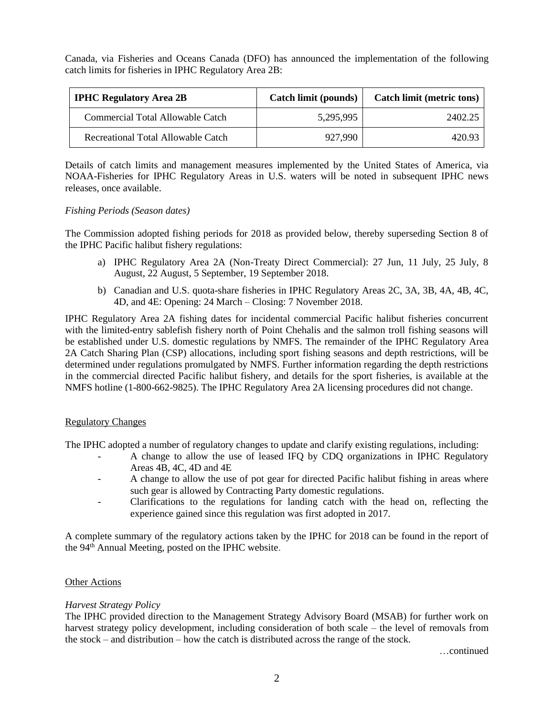Canada, via Fisheries and Oceans Canada (DFO) has announced the implementation of the following catch limits for fisheries in IPHC Regulatory Area 2B:

| <b>IPHC Regulatory Area 2B</b>     | Catch limit (pounds) | Catch limit (metric tons) |
|------------------------------------|----------------------|---------------------------|
| Commercial Total Allowable Catch   | 5,295,995            | 2402.25                   |
| Recreational Total Allowable Catch | 927,990              | 420.93                    |

Details of catch limits and management measures implemented by the United States of America, via NOAA-Fisheries for IPHC Regulatory Areas in U.S. waters will be noted in subsequent IPHC news releases, once available.

### *Fishing Periods (Season dates)*

The Commission adopted fishing periods for 2018 as provided below, thereby superseding Section 8 of the IPHC Pacific halibut fishery regulations:

- a) IPHC Regulatory Area 2A (Non-Treaty Direct Commercial): 27 Jun, 11 July, 25 July, 8 August, 22 August, 5 September, 19 September 2018.
- b) Canadian and U.S. quota-share fisheries in IPHC Regulatory Areas 2C, 3A, 3B, 4A, 4B, 4C, 4D, and 4E: Opening: 24 March – Closing: 7 November 2018.

IPHC Regulatory Area 2A fishing dates for incidental commercial Pacific halibut fisheries concurrent with the limited-entry sablefish fishery north of Point Chehalis and the salmon troll fishing seasons will be established under U.S. domestic regulations by NMFS. The remainder of the IPHC Regulatory Area 2A Catch Sharing Plan (CSP) allocations, including sport fishing seasons and depth restrictions, will be determined under regulations promulgated by NMFS. Further information regarding the depth restrictions in the commercial directed Pacific halibut fishery, and details for the sport fisheries, is available at the NMFS hotline (1-800-662-9825). The IPHC Regulatory Area 2A licensing procedures did not change.

# Regulatory Changes

The IPHC adopted a number of regulatory changes to update and clarify existing regulations, including:

- A change to allow the use of leased IFQ by CDQ organizations in IPHC Regulatory Areas 4B, 4C, 4D and 4E
- A change to allow the use of pot gear for directed Pacific halibut fishing in areas where such gear is allowed by Contracting Party domestic regulations.
- Clarifications to the regulations for landing catch with the head on, reflecting the experience gained since this regulation was first adopted in 2017.

A complete summary of the regulatory actions taken by the IPHC for 2018 can be found in the report of the 94<sup>th</sup> Annual Meeting, posted on the IPHC website.

# **Other Actions**

# *Harvest Strategy Policy*

The IPHC provided direction to the Management Strategy Advisory Board (MSAB) for further work on harvest strategy policy development, including consideration of both scale – the level of removals from the stock – and distribution – how the catch is distributed across the range of the stock.

…continued